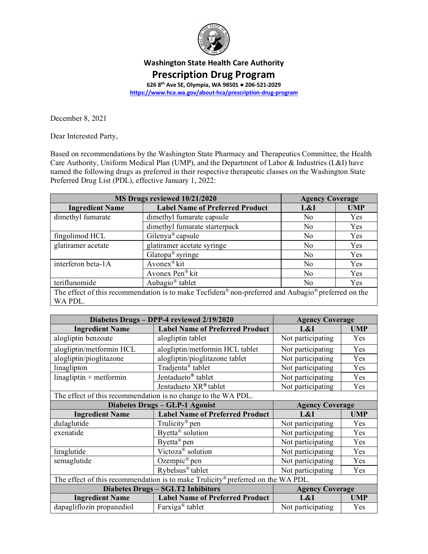

## **Washington State Health Care Authority Prescription Drug Program 626 8th Ave SE, Olympia, WA 98501 ● 206-521-2029 <https://www.hca.wa.gov/about-hca/prescription-drug-program>**

December 8, 2021

Dear Interested Party,

Based on recommendations by the Washington State Pharmacy and Therapeutics Committee, the Health Care Authority, Uniform Medical Plan (UMP), and the Department of Labor & Industries (L&I) have named the following drugs as preferred in their respective therapeutic classes on the Washington State Preferred Drug List (PDL), effective January 1, 2022:

| MS Drugs reviewed 10/21/2020                                                                        |                                        | <b>Agency Coverage</b> |            |
|-----------------------------------------------------------------------------------------------------|----------------------------------------|------------------------|------------|
| <b>Ingredient Name</b>                                                                              | <b>Label Name of Preferred Product</b> | L&I                    | <b>UMP</b> |
| dimethyl fumarate                                                                                   | dimethyl fumarate capsule              | N <sub>0</sub>         | <b>Yes</b> |
|                                                                                                     | dimethyl fumarate starterpack          | N <sub>0</sub>         | Yes        |
| fingolimod HCL                                                                                      | Gilenya <sup>®</sup> capsule           | N <sub>0</sub>         | Yes        |
| glatiramer acetate                                                                                  | glatiramer acetate syringe             | N <sub>o</sub>         | Yes        |
|                                                                                                     | Glatopa <sup>®</sup> syringe           | N <sub>o</sub>         | Yes        |
| interferon beta-1A                                                                                  | Avonex <sup>®</sup> kit                | N <sub>o</sub>         | Yes        |
|                                                                                                     | Avonex Pen® kit                        | N <sub>0</sub>         | Yes        |
| teriflunomide                                                                                       | Aubagio <sup>®</sup> tablet            | N <sub>0</sub>         | <b>Yes</b> |
| The effect of this recommendation is to make Tecfidera® non-preferred and Aubagio® preferred on the |                                        |                        |            |
| WA PDL.                                                                                             |                                        |                        |            |

| Diabetes Drugs - DPP-4 reviewed 2/19/2020                                        |                                        | <b>Agency Coverage</b> |            |
|----------------------------------------------------------------------------------|----------------------------------------|------------------------|------------|
| <b>Ingredient Name</b>                                                           | <b>Label Name of Preferred Product</b> | L&I                    | <b>UMP</b> |
| alogliptin benzoate                                                              | alogliptin tablet                      | Not participating      | Yes        |
| alogliptin/metformin HCL                                                         | alogliptin/metformin HCL tablet        | Not participating      | Yes        |
| alogliptin/pioglitazone                                                          | alogliptin/pioglitazone tablet         | Not participating      | Yes        |
| linaglipton                                                                      | Tradjenta <sup>®</sup> tablet          | Not participating      | Yes        |
| $\text{lingliptin} + \text{metformin}$                                           | Jentadueto <sup>®</sup> tablet         | Not participating      | Yes        |
|                                                                                  | Jentadueto XR® tablet                  | Not participating      | Yes        |
| The effect of this recommendation is no change to the WA PDL.                    |                                        |                        |            |
| Diabetes Drugs - GLP-1 Agonist                                                   |                                        | <b>Agency Coverage</b> |            |
| <b>Ingredient Name</b>                                                           | <b>Label Name of Preferred Product</b> | L&I                    | <b>UMP</b> |
| dulaglutide                                                                      | Trulicity <sup>®</sup> pen             | Not participating      | Yes        |
| exenatide                                                                        | Byetta <sup>®</sup> solution           | Not participating      | Yes        |
|                                                                                  | Byetta <sup>®</sup> pen                | Not participating      | Yes        |
| liraglutide                                                                      | Victoza <sup>®</sup> solution          | Not participating      | Yes        |
| semaglutide                                                                      | Ozempic <sup>®</sup> pen               | Not participating      | Yes        |
|                                                                                  | Rybelsus <sup>®</sup> tablet           | Not participating      | Yes        |
| The effect of this recommendation is to make Trulicity® preferred on the WA PDL. |                                        |                        |            |
| <b>Diabetes Drugs - SGLT2 Inhibitors</b>                                         |                                        | <b>Agency Coverage</b> |            |
| <b>Ingredient Name</b>                                                           | <b>Label Name of Preferred Product</b> | L&I                    | <b>UMP</b> |
| dapagliflozin propanediol                                                        | Farxiga <sup>®</sup> tablet            | Not participating      | Yes        |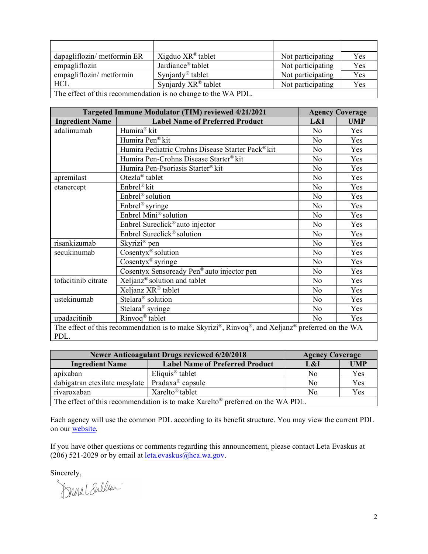| dapagliflozin/ metformin ER                                   | Xigduo XR® tablet                | Not participating | Yes |
|---------------------------------------------------------------|----------------------------------|-------------------|-----|
| empagliflozin                                                 | Jardiance® tablet                | Not participating | Yes |
| empagliflozin/ metformin                                      | Synjardy <sup>®</sup> tablet     | Not participating | Yes |
| <b>HCL</b>                                                    | Synjardy $XR^{\circledR}$ tablet | Not participating | Yes |
| The effect of this recommendation is no change to the WA PDL. |                                  |                   |     |

| Targeted Immune Modulator (TIM) reviewed 4/21/2021 |                                                                                                  |                | <b>Agency Coverage</b> |  |
|----------------------------------------------------|--------------------------------------------------------------------------------------------------|----------------|------------------------|--|
| <b>Ingredient Name</b>                             | <b>Label Name of Preferred Product</b>                                                           | L&I            | <b>UMP</b>             |  |
| adalimumab                                         | Humira® kit                                                                                      | N <sub>0</sub> | Yes                    |  |
|                                                    | Humira Pen® kit                                                                                  | No             | Yes                    |  |
|                                                    | Humira Pediatric Crohns Disease Starter Pack®kit                                                 | N <sub>o</sub> | Yes                    |  |
|                                                    | Humira Pen-Crohns Disease Starter® kit                                                           | N <sub>o</sub> | Yes                    |  |
|                                                    | Humira Pen-Psoriasis Starter® kit                                                                | N <sub>o</sub> | Yes                    |  |
| apremilast                                         | Otezla <sup>®</sup> tablet                                                                       | N <sub>o</sub> | Yes                    |  |
| etanercept                                         | Enbrel® kit                                                                                      | N <sub>o</sub> | Yes                    |  |
|                                                    | Enbrel® solution                                                                                 | N <sub>o</sub> | Yes                    |  |
|                                                    | Enbrel <sup>®</sup> syringe                                                                      | No             | Yes                    |  |
|                                                    | Enbrel Mini® solution                                                                            | N <sub>o</sub> | Yes                    |  |
|                                                    | Enbrel Sureclick <sup>®</sup> auto injector                                                      | No             | Yes                    |  |
|                                                    | Enbrel Sureclick® solution                                                                       | N <sub>o</sub> | Yes                    |  |
| risankizumab                                       | Skyrizi <sup>®</sup> pen                                                                         | N <sub>o</sub> | Yes                    |  |
| secukinumab                                        | Cosentyx <sup>®</sup> solution                                                                   | N <sub>o</sub> | Yes                    |  |
|                                                    | Cosentyx <sup>®</sup> syringe                                                                    | N <sub>o</sub> | Yes                    |  |
|                                                    | Cosentyx Sensoready Pen® auto injector pen                                                       | N <sub>o</sub> | Yes                    |  |
| tofacitinib citrate                                | Xeljanz® solution and tablet                                                                     | No             | Yes                    |  |
|                                                    | Xeljanz XR <sup>®</sup> tablet                                                                   | N <sub>o</sub> | Yes                    |  |
| ustekinumab                                        | Stelara <sup>®</sup> solution                                                                    | N <sub>0</sub> | Yes                    |  |
|                                                    | Stelara <sup>®</sup> syringe                                                                     | N <sub>o</sub> | Yes                    |  |
| upadacitinib                                       | Rinvoq® tablet                                                                                   | N <sub>o</sub> | Yes                    |  |
| PDL.                                               | The effect of this recommendation is to make Skyrizi®, Rinvoq®, and Xeljanz® preferred on the WA |                |                        |  |

| <b>Newer Anticoagulant Drugs reviewed 6/20/2018</b>                            |                                        | <b>Agency Coverage</b> |            |
|--------------------------------------------------------------------------------|----------------------------------------|------------------------|------------|
| <b>Ingredient Name</b>                                                         | <b>Label Name of Preferred Product</b> | L&I                    | <b>UMP</b> |
| apixaban                                                                       | Eliquis <sup>®</sup> tablet            | No                     | Yes        |
| dabigatran etexilate mesylate                                                  | Pradaxa <sup>®</sup> capsule           | No                     | Yes        |
| rivaroxaban                                                                    | Xarelto <sup>®</sup> tablet            | No                     | Yes        |
| The effect of this recommendation is to make Xarelto® preferred on the WA PDL. |                                        |                        |            |

Each agency will use the common PDL according to its benefit structure. You may view the current PDL on our <u>website</u>.

If you have other questions or comments regarding this announcement, please contact Leta Evaskus at (206) 521-2029 or by email at <u>leta.evaskus@hca.wa.gov</u>.

Sincerely,<br>Muhal Sullan